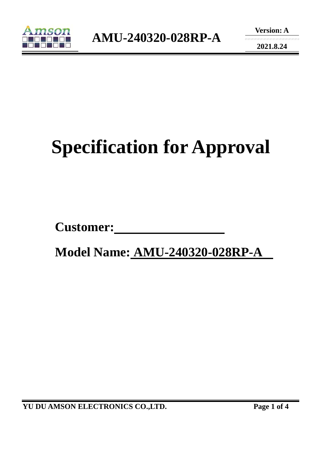

**2021.8.24** 

# **Specification for Approval**

Customer:

 **Model Name: AMU-240320-028RP-A** 

**YU DU AMSON ELECTRONICS CO.,LTD. Page 1 of 4**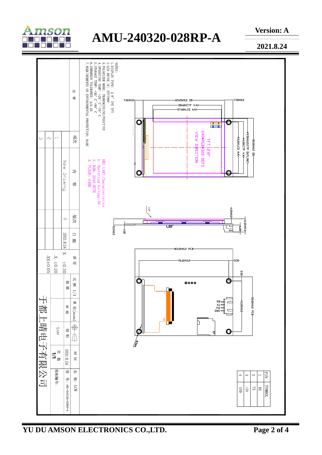

## **AMU-240320-028RP-A**



**2021.8.24** 

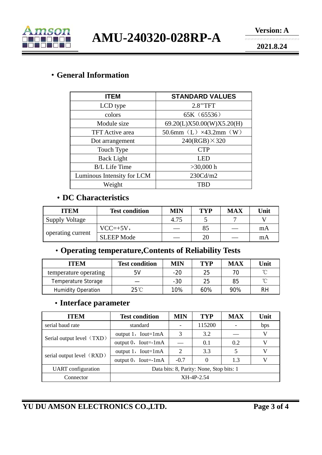

**AMU-240320-028RP-A** 

**2021.8.24** 

#### ·**General Information**

| <b>ITEM</b>                | <b>STANDARD VALUES</b>            |  |  |  |
|----------------------------|-----------------------------------|--|--|--|
| LCD type                   | 2.8"TFT                           |  |  |  |
| colors                     | 65K (65536)                       |  |  |  |
| Module size                | 69.20(L)X50.00(W)X5.20(H)         |  |  |  |
| <b>TFT</b> Active area     | 50.6mm $(L) \times 43.2$ mm $(W)$ |  |  |  |
| Dot arrangement            | $240(RGB) \times 320$             |  |  |  |
| Touch Type                 | <b>CTP</b>                        |  |  |  |
| <b>Back Light</b>          | LED                               |  |  |  |
| <b>B/L</b> Life Time       | $>30,000$ h                       |  |  |  |
| Luminous Intensity for LCM | 230Cd/m2                          |  |  |  |
| Weight                     | <b>TBD</b>                        |  |  |  |

#### ·**DC Characteristics**

| <b>ITEM</b>           | <b>Test condition</b> | MIN  | <b>TYP</b> | <b>MAX</b> | Unit |
|-----------------------|-----------------------|------|------------|------------|------|
| <b>Supply Voltage</b> |                       | 4.75 |            |            |      |
| operating current     | $VCC=+5V,$            |      | 85         |            | mA   |
|                       | <b>SLEEP Mode</b>     |      | 20         |            | mA   |

### ·**Operating temperature,Contents of Reliability Tests**

| <b>ITEM</b>               | <b>Test condition</b> | <b>MIN</b> | TYP | <b>MAX</b> | Unit |
|---------------------------|-----------------------|------------|-----|------------|------|
| temperature operating     | 5V                    | $-20$      | 25  |            | ∽    |
| Temperature Storage       |                       | $-30$      | 25  | 85         | ∽    |
| <b>Humidity Operation</b> | $25^{\circ}$ C        | 10%        | 60% | 90%        | RH   |

#### ·**Interface parameter**

| <b>ITEM</b>               | <b>Test condition</b>                    | MIN    | <b>TYP</b> | <b>MAX</b> | Unit |
|---------------------------|------------------------------------------|--------|------------|------------|------|
| serial baud rate          | standard                                 |        | 115200     |            | bps  |
| Serial output level (TXD) | output $1$ , Iout=1mA                    | 3      | 3.2        |            | V    |
|                           | output $0$ , Iout=-1mA                   |        | 0.1        | 0.2        |      |
| serial output level (RXD) | output $1$ , Iout=1mA                    | 2      | 3.3        |            | V    |
|                           | output $0$ , Iout=-1mA                   | $-0.7$ |            | 1.3        | V    |
| <b>UART</b> configuration | Data bits: 8, Parity: None, Stop bits: 1 |        |            |            |      |
| Connector                 | XH-4P-2.54                               |        |            |            |      |